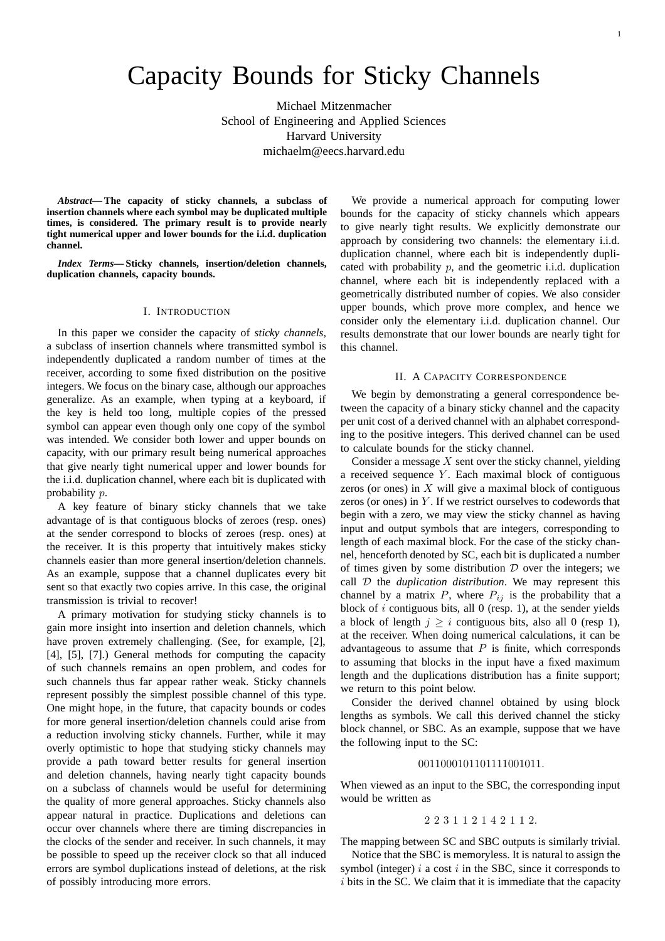# Capacity Bounds for Sticky Channels

Michael Mitzenmacher School of Engineering and Applied Sciences Harvard University michaelm@eecs.harvard.edu

*Abstract***— The capacity of sticky channels, a subclass of insertion channels where each symbol may be duplicated multiple times, is considered. The primary result is to provide nearly tight numerical upper and lower bounds for the i.i.d. duplication channel.**

*Index Terms***— Sticky channels, insertion/deletion channels, duplication channels, capacity bounds.**

# I. INTRODUCTION

In this paper we consider the capacity of *sticky channels*, a subclass of insertion channels where transmitted symbol is independently duplicated a random number of times at the receiver, according to some fixed distribution on the positive integers. We focus on the binary case, although our approaches generalize. As an example, when typing at a keyboard, if the key is held too long, multiple copies of the pressed symbol can appear even though only one copy of the symbol was intended. We consider both lower and upper bounds on capacity, with our primary result being numerical approaches that give nearly tight numerical upper and lower bounds for the i.i.d. duplication channel, where each bit is duplicated with probability p.

A key feature of binary sticky channels that we take advantage of is that contiguous blocks of zeroes (resp. ones) at the sender correspond to blocks of zeroes (resp. ones) at the receiver. It is this property that intuitively makes sticky channels easier than more general insertion/deletion channels. As an example, suppose that a channel duplicates every bit sent so that exactly two copies arrive. In this case, the original transmission is trivial to recover!

A primary motivation for studying sticky channels is to gain more insight into insertion and deletion channels, which have proven extremely challenging. (See, for example, [2], [4], [5], [7].) General methods for computing the capacity of such channels remains an open problem, and codes for such channels thus far appear rather weak. Sticky channels represent possibly the simplest possible channel of this type. One might hope, in the future, that capacity bounds or codes for more general insertion/deletion channels could arise from a reduction involving sticky channels. Further, while it may overly optimistic to hope that studying sticky channels may provide a path toward better results for general insertion and deletion channels, having nearly tight capacity bounds on a subclass of channels would be useful for determining the quality of more general approaches. Sticky channels also appear natural in practice. Duplications and deletions can occur over channels where there are timing discrepancies in the clocks of the sender and receiver. In such channels, it may be possible to speed up the receiver clock so that all induced errors are symbol duplications instead of deletions, at the risk of possibly introducing more errors.

We provide a numerical approach for computing lower bounds for the capacity of sticky channels which appears to give nearly tight results. We explicitly demonstrate our approach by considering two channels: the elementary i.i.d. duplication channel, where each bit is independently duplicated with probability  $p$ , and the geometric i.i.d. duplication channel, where each bit is independently replaced with a geometrically distributed number of copies. We also consider upper bounds, which prove more complex, and hence we consider only the elementary i.i.d. duplication channel. Our results demonstrate that our lower bounds are nearly tight for this channel.

1

## II. A CAPACITY CORRESPONDENCE

We begin by demonstrating a general correspondence between the capacity of a binary sticky channel and the capacity per unit cost of a derived channel with an alphabet corresponding to the positive integers. This derived channel can be used to calculate bounds for the sticky channel.

Consider a message  $X$  sent over the sticky channel, yielding a received sequence  $Y$ . Each maximal block of contiguous zeros (or ones) in  $X$  will give a maximal block of contiguous zeros (or ones) in  $Y$ . If we restrict ourselves to codewords that begin with a zero, we may view the sticky channel as having input and output symbols that are integers, corresponding to length of each maximal block. For the case of the sticky channel, henceforth denoted by SC, each bit is duplicated a number of times given by some distribution  $D$  over the integers; we call D the *duplication distribution*. We may represent this channel by a matrix  $P$ , where  $P_{ij}$  is the probability that a block of  $i$  contiguous bits, all  $0$  (resp. 1), at the sender yields a block of length  $j \geq i$  contiguous bits, also all 0 (resp 1), at the receiver. When doing numerical calculations, it can be advantageous to assume that  $P$  is finite, which corresponds to assuming that blocks in the input have a fixed maximum length and the duplications distribution has a finite support; we return to this point below.

Consider the derived channel obtained by using block lengths as symbols. We call this derived channel the sticky block channel, or SBC. As an example, suppose that we have the following input to the SC:

# 0011000101101111001011.

When viewed as an input to the SBC, the corresponding input would be written as

#### 223112142112.

The mapping between SC and SBC outputs is similarly trivial.

Notice that the SBC is memoryless. It is natural to assign the symbol (integer)  $i$  a cost  $i$  in the SBC, since it corresponds to  $i$  bits in the SC. We claim that it is immediate that the capacity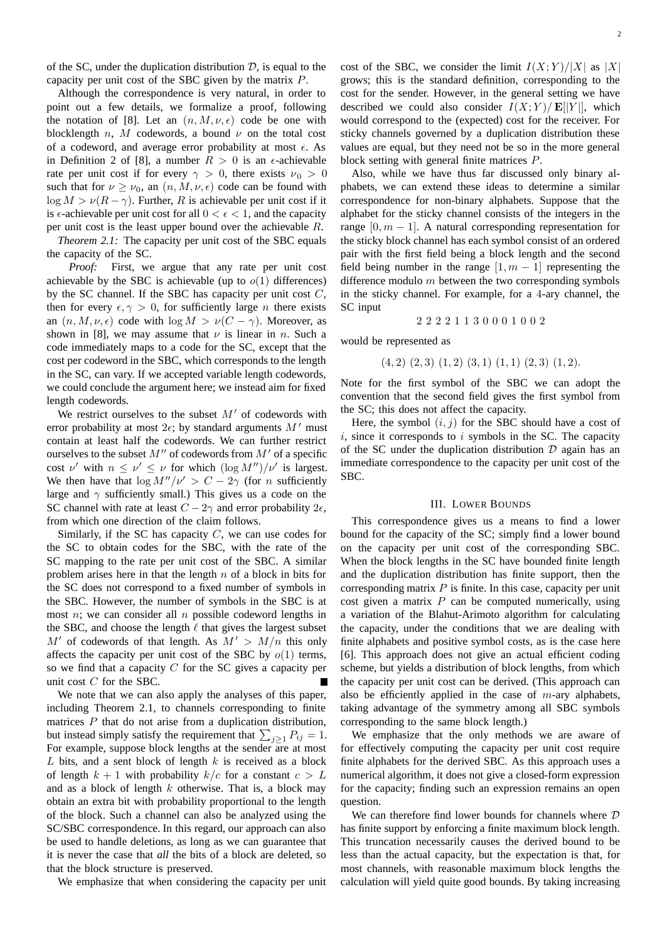of the SC, under the duplication distribution  $D$ , is equal to the capacity per unit cost of the SBC given by the matrix P.

Although the correspondence is very natural, in order to point out a few details, we formalize a proof, following the notation of [8]. Let an  $(n, M, \nu, \epsilon)$  code be one with<br>blocklength n M codewords a bound  $\nu$  on the total cost blocklength *n*, *M* codewords, a bound  $\nu$  on the total cost of a codeword, and average error probability at most  $\epsilon$ . As in Definition 2 of [8], a number  $R > 0$  is an  $\epsilon$ -achievable<br>rate per unit cost if for every  $\alpha > 0$  there exists  $u_0 > 0$ rate per unit cost if for every  $\gamma > 0$ , there exists  $\nu_0 > 0$ such that for  $\nu \ge \nu_0$ , an  $(n, M, \nu, \epsilon)$  code can be found with  $\log M \ge \nu(R - \infty)$ . Further R is achievable per unit cost if it  $\log M > \nu(R - \gamma)$ . Further, R is achievable per unit cost if it is  $\epsilon$ -achievable per unit cost for all  $0 < \epsilon < 1$ , and the capacity<br>per unit cost is the least upper bound over the achievable R per unit cost is the least upper bound over the achievable R. *Theorem 2.1:* The capacity per unit cost of the SBC equals

the capacity of the SC.

*Proof:* First, we argue that any rate per unit cost achievable by the SBC is achievable (up to  $o(1)$  differences) by the SC channel. If the SBC has capacity per unit cost  $C$ , then for every  $\epsilon, \gamma > 0$ , for sufficiently large *n* there exists<br>an  $(n, M, \nu, \epsilon)$  code with  $\log M > \nu(C - \gamma)$ . Moreover, as an  $(n, M, \nu, \epsilon)$  code with  $\log M > \nu(C - \gamma)$ . Moreover, as shown in [8], we may assume that  $\nu$  is linear in n. Such a code immediately maps to a code for the SC, except that the cost per codeword in the SBC, which corresponds to the length in the SC, can vary. If we accepted variable length codewords, we could conclude the argument here; we instead aim for fixed length codewords.

We restrict ourselves to the subset  $M'$  of codewords with error probability at most  $2\epsilon$ ; by standard arguments  $M'$  must<br>contain at least half the codewords. We can further restrict contain at least half the codewords. We can further restrict ourselves to the subset  $M''$  of codewords from  $M'$  of a specific cost  $\nu'$  with  $n \leq \nu' \leq \nu$  for which  $(\log M'')/\nu'$  is largest. We then have that  $\log M''/v' > C - 2\gamma$  (for *n* sufficiently large and  $\gamma$  sufficiently small.) This gives us a code on the SC channel with rate at least  $C - 2\gamma$  and error probability  $2\epsilon$ ,<br>from which one direction of the claim follows from which one direction of the claim follows.

Similarly, if the SC has capacity  $C$ , we can use codes for the SC to obtain codes for the SBC, with the rate of the SC mapping to the rate per unit cost of the SBC. A similar problem arises here in that the length  $n$  of a block in bits for the SC does not correspond to a fixed number of symbols in the SBC. However, the number of symbols in the SBC is at most  $n$ ; we can consider all  $n$  possible codeword lengths in the SBC, and choose the length  $\ell$  that gives the largest subset  $M'$  of codewords of that length. As  $M' > M/n$  this only affects the capacity per unit cost of the SBC by  $o(1)$  terms, so we find that a capacity  $C$  for the SC gives a capacity per unit cost C for the SBC.

We note that we can also apply the analyses of this paper, including Theorem 2.1, to channels corresponding to finite matrices  $P$  that do not arise from a duplication distribution, but instead simply satisfy the requirement that  $\sum_{j\geq 1} P_{ij} = 1$ .<br>For example, suppose block lengths at the sender are at most For example, suppose block lengths at the sender are at most  $L$  bits, and a sent block of length  $k$  is received as a block of length  $k + 1$  with probability  $k/c$  for a constant  $c > L$ and as a block of length  $k$  otherwise. That is, a block may obtain an extra bit with probability proportional to the length of the block. Such a channel can also be analyzed using the SC/SBC correspondence. In this regard, our approach can also be used to handle deletions, as long as we can guarantee that it is never the case that *all* the bits of a block are deleted, so that the block structure is preserved.

We emphasize that when considering the capacity per unit

cost of the SBC, we consider the limit  $I(X;Y)/|X|$  as  $|X|$ grows; this is the standard definition, corresponding to the cost for the sender. However, in the general setting we have described we could also consider  $I(X; Y)/E[|Y|]$ , which would correspond to the (expected) cost for the receiver. For sticky channels governed by a duplication distribution these values are equal, but they need not be so in the more general block setting with general finite matrices P.

Also, while we have thus far discussed only binary alphabets, we can extend these ideas to determine a similar correspondence for non-binary alphabets. Suppose that the alphabet for the sticky channel consists of the integers in the range  $[0, m - 1]$ . A natural corresponding representation for the sticky block channel has each symbol consist of an ordered pair with the first field being a block length and the second field being number in the range  $[1, m - 1]$  representing the difference modulo  $m$  between the two corresponding symbols in the sticky channel. For example, for a 4-ary channel, the SC input

22221130001002

would be represented as

$$
(4,2)(2,3)(1,2)(3,1)(1,1)(2,3)(1,2).
$$

Note for the first symbol of the SBC we can adopt the convention that the second field gives the first symbol from the SC; this does not affect the capacity.

Here, the symbol  $(i, j)$  for the SBC should have a cost of  $i$ , since it corresponds to  $i$  symbols in the SC. The capacity of the SC under the duplication distribution  $D$  again has an immediate correspondence to the capacity per unit cost of the SBC.

#### III. LOWER BOUNDS

This correspondence gives us a means to find a lower bound for the capacity of the SC; simply find a lower bound on the capacity per unit cost of the corresponding SBC. When the block lengths in the SC have bounded finite length and the duplication distribution has finite support, then the corresponding matrix  $P$  is finite. In this case, capacity per unit cost given a matrix  $P$  can be computed numerically, using a variation of the Blahut-Arimoto algorithm for calculating the capacity, under the conditions that we are dealing with finite alphabets and positive symbol costs, as is the case here [6]. This approach does not give an actual efficient coding scheme, but yields a distribution of block lengths, from which the capacity per unit cost can be derived. (This approach can also be efficiently applied in the case of  $m$ -ary alphabets, taking advantage of the symmetry among all SBC symbols corresponding to the same block length.)

We emphasize that the only methods we are aware of for effectively computing the capacity per unit cost require finite alphabets for the derived SBC. As this approach uses a numerical algorithm, it does not give a closed-form expression for the capacity; finding such an expression remains an open question.

We can therefore find lower bounds for channels where  $D$ has finite support by enforcing a finite maximum block length. This truncation necessarily causes the derived bound to be less than the actual capacity, but the expectation is that, for most channels, with reasonable maximum block lengths the calculation will yield quite good bounds. By taking increasing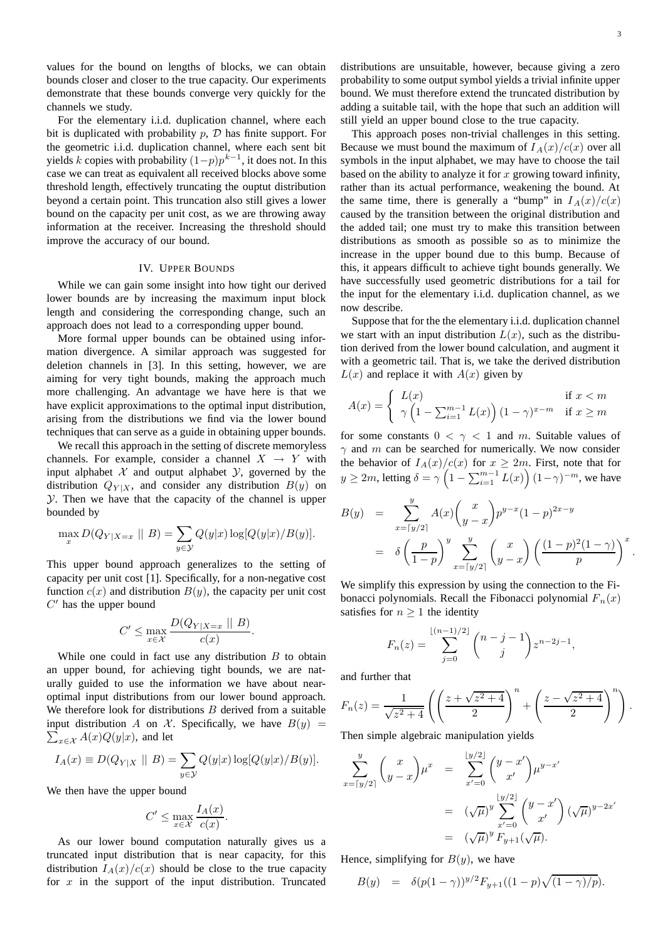values for the bound on lengths of blocks, we can obtain bounds closer and closer to the true capacity. Our experiments demonstrate that these bounds converge very quickly for the channels we study.

For the elementary i.i.d. duplication channel, where each bit is duplicated with probability  $p$ ,  $D$  has finite support. For the geometric i.i.d. duplication channel, where each sent bit yields k copies with probability  $(1-p)p^{k-1}$ , it does not. In this case we can treat as equivalent all received blocks above some threshold length, effectively truncating the ouptut distribution beyond a certain point. This truncation also still gives a lower bound on the capacity per unit cost, as we are throwing away information at the receiver. Increasing the threshold should improve the accuracy of our bound.

#### IV. UPPER BOUNDS

While we can gain some insight into how tight our derived lower bounds are by increasing the maximum input block length and considering the corresponding change, such an approach does not lead to a corresponding upper bound.

More formal upper bounds can be obtained using information divergence. A similar approach was suggested for deletion channels in [3]. In this setting, however, we are aiming for very tight bounds, making the approach much more challenging. An advantage we have here is that we have explicit approximations to the optimal input distribution, arising from the distributions we find via the lower bound techniques that can serve as a guide in obtaining upper bounds.

We recall this approach in the setting of discrete memoryless channels. For example, consider a channel  $X \rightarrow Y$  with input alphabet  $X$  and output alphabet  $Y$ , governed by the distribution  $Q_{Y|X}$ , and consider any distribution  $B(y)$  on  $Y$ . Then we have that the capacity of the channel is upper bounded by

$$
\max_x D(Q_{Y|X=x} \mid B) = \sum_{y \in \mathcal{Y}} Q(y|x) \log[Q(y|x)/B(y)].
$$

This upper bound approach generalizes to the setting of capacity per unit cost [1]. Specifically, for a non-negative cost function  $c(x)$  and distribution  $B(y)$ , the capacity per unit cost  $C'$  has the upper bound

$$
C' \le \max_{x \in \mathcal{X}} \frac{D(Q_{Y|X=x} \mid\mid B)}{c(x)}.
$$

While one could in fact use any distribution  $B$  to obtain an upper bound, for achieving tight bounds, we are naturally guided to use the information we have about nearoptimal input distributions from our lower bound approach. We therefore look for distributions  $B$  derived from a suitable  $\sum_{x \in \mathcal{X}} A(x) Q(y|x)$ , and let input distribution A on X. Specifically, we have  $B(y)$  =

$$
I_A(x) \equiv D(Q_{Y|X} || B) = \sum_{y \in Y} Q(y|x) \log[Q(y|x)/B(y)].
$$

We then have the upper bound

$$
C' \le \max_{x \in \mathcal{X}} \frac{I_A(x)}{c(x)}.
$$

As our lower bound computation naturally gives us a truncated input distribution that is near capacity, for this distribution  $I_A(x)/c(x)$  should be close to the true capacity for  $x$  in the support of the input distribution. Truncated

distributions are unsuitable, however, because giving a zero probability to some output symbol yields a trivial infinite upper bound. We must therefore extend the truncated distribution by adding a suitable tail, with the hope that such an addition will still yield an upper bound close to the true capacity.

This approach poses non-trivial challenges in this setting. Because we must bound the maximum of  $I_A(x)/c(x)$  over all symbols in the input alphabet, we may have to choose the tail based on the ability to analyze it for  $x$  growing toward infinity, rather than its actual performance, weakening the bound. At the same time, there is generally a "bump" in  $I_A(x)/c(x)$ caused by the transition between the original distribution and the added tail; one must try to make this transition between distributions as smooth as possible so as to minimize the increase in the upper bound due to this bump. Because of this, it appears difficult to achieve tight bounds generally. We have successfully used geometric distributions for a tail for the input for the elementary i.i.d. duplication channel, as we now describe.

Suppose that for the the elementary i.i.d. duplication channel we start with an input distribution  $L(x)$ , such as the distribution derived from the lower bound calculation, and augment it with a geometric tail. That is, we take the derived distribution  $L(x)$  and replace it with  $A(x)$  given by

$$
A(x) = \begin{cases} L(x) & \text{if } x < m \\ \gamma \left( 1 - \sum_{i=1}^{m-1} L(x) \right) (1 - \gamma)^{x - m} & \text{if } x \ge m \end{cases}
$$

for some constants  $0 < \gamma < 1$  and m. Suitable values of  $\gamma$  and m can be searched for numerically. We now consider the behavior of  $I_A(x)/c(x)$  for  $x \ge 2m$ . First, note that for  $y \ge 2m$ , letting  $\delta = \gamma \left(1 - \sum_{i=1}^{m-1} L(x)\right) (1 - \gamma)^{-m}$ , we have

$$
B(y) = \sum_{x=[y/2]}^{y} A(x) {x \choose y-x} p^{y-x} (1-p)^{2x-y}
$$
  
=  $\delta \left(\frac{p}{1-p}\right)^y \sum_{x=[y/2]}^{y} {x \choose y-x} \left(\frac{(1-p)^2(1-\gamma)}{p}\right)^x$ .

We simplify this expression by using the connection to the Fibonacci polynomials. Recall the Fibonacci polynomial  $F_n(x)$ satisfies for  $n \geq 1$  the identity

$$
F_n(z) = \sum_{j=0}^{\lfloor (n-1)/2 \rfloor} {n-j-1 \choose j} z^{n-2j-1},
$$

and further that

$$
F_n(z) = \frac{1}{\sqrt{z^2 + 4}} \left( \left( \frac{z + \sqrt{z^2 + 4}}{2} \right)^n + \left( \frac{z - \sqrt{z^2 + 4}}{2} \right)^n \right).
$$

Then simple algebraic manipulation yields

$$
\sum_{x=[y/2]}^{y} {x \choose y-x} \mu^{x} = \sum_{x'=0}^{[y/2]} {y-x' \choose x'} \mu^{y-x'} \n= (\sqrt{\mu})^{y} \sum_{x'=0}^{[y/2]} {y-x' \choose x'} (\sqrt{\mu})^{y-2x'} \n= (\sqrt{\mu})^{y} F_{y+1}(\sqrt{\mu}).
$$

Hence, simplifying for  $B(y)$ , we have

$$
B(y) = \delta(p(1-\gamma))^{y/2} F_{y+1}((1-p)\sqrt{(1-\gamma)/p}).
$$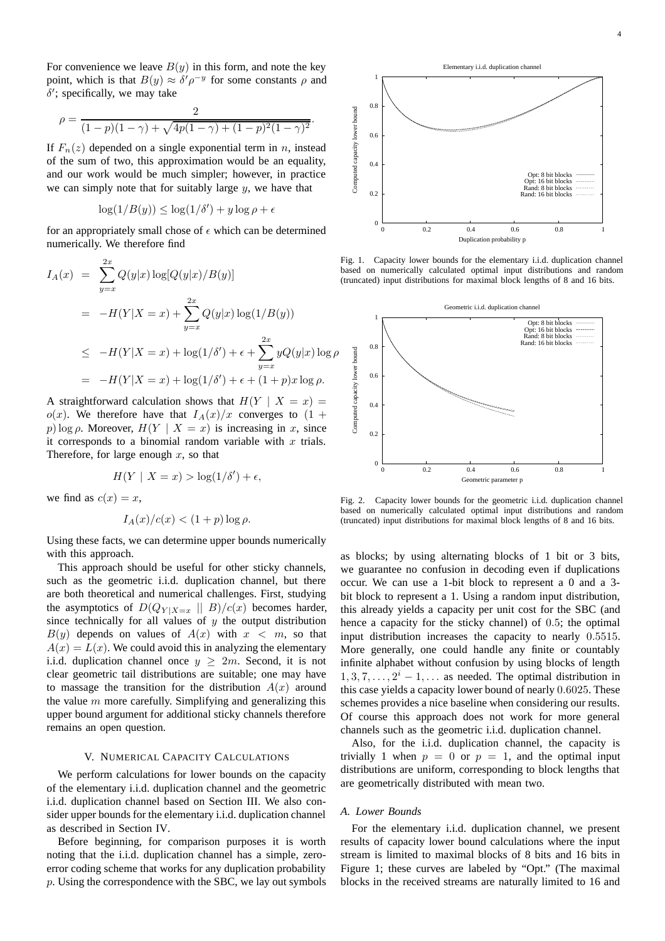For convenience we leave  $B(y)$  in this form, and note the key point, which is that  $B(y) \approx \delta' \rho^{-y}$  for some constants  $\rho$  and  $\delta'$ : specifically we may take  $\delta'$ ; specifically, we may take

$$
\rho = \frac{2}{(1-p)(1-\gamma) + \sqrt{4p(1-\gamma) + (1-p)^2(1-\gamma)^2}}.
$$

If  $F_n(z)$  depended on a single exponential term in n, instead of the sum of two, this approximation would be an equality, and our work would be much simpler; however, in practice we can simply note that for suitably large  $y$ , we have that

$$
\log(1/B(y)) \le \log(1/\delta') + y \log \rho + \epsilon
$$

for an appropriately small chose of  $\epsilon$  which can be determined numerically. We therefore find

$$
I_A(x) = \sum_{y=x}^{2x} Q(y|x) \log[Q(y|x)/B(y)]
$$
  
= 
$$
-H(Y|X=x) + \sum_{y=x}^{2x} Q(y|x) \log(1/B(y))
$$
  

$$
\leq -H(Y|X=x) + \log(1/\delta') + \epsilon + \sum_{y=x}^{2x} yQ(y|x) \log \rho
$$
  
= 
$$
-H(Y|X=x) + \log(1/\delta') + \epsilon + (1+p)x \log \rho.
$$

A straightforward calculation shows that  $H(Y \mid X = x) =$  $o(x)$ . We therefore have that  $I_A(x)/x$  converges to  $(1 +$ p) log  $\rho$ . Moreover,  $H(Y | X = x)$  is increasing in x, since it corresponds to a binomial random variable with  $x$  trials. Therefore, for large enough  $x$ , so that

$$
H(Y \mid X = x) > \log(1/\delta') + \epsilon,
$$

we find as  $c(x) = x$ ,

$$
I_A(x)/c(x) < (1+p)\log\rho.
$$

Using these facts, we can determine upper bounds numerically with this approach.

This approach should be useful for other sticky channels, such as the geometric i.i.d. duplication channel, but there are both theoretical and numerical challenges. First, studying the asymptotics of  $D(Q_{Y|X=x} || B)/c(x)$  becomes harder, since technically for all values of  $y$  the output distribution  $B(y)$  depends on values of  $A(x)$  with  $x < m$ , so that  $A(x) = L(x)$ . We could avoid this in analyzing the elementary i.i.d. duplication channel once  $y \geq 2m$ . Second, it is not clear geometric tail distributions are suitable; one may have to massage the transition for the distribution  $A(x)$  around the value  $m$  more carefully. Simplifying and generalizing this upper bound argument for additional sticky channels therefore remains an open question.

## V. NUMERICAL CAPACITY CALCULATIONS

We perform calculations for lower bounds on the capacity of the elementary i.i.d. duplication channel and the geometric i.i.d. duplication channel based on Section III. We also consider upper bounds for the elementary i.i.d. duplication channel as described in Section IV.

Before beginning, for comparison purposes it is worth noting that the i.i.d. duplication channel has a simple, zeroerror coding scheme that works for any duplication probability p. Using the correspondence with the SBC, we lay out symbols



Fig. 1. Capacity lower bounds for the elementary i.i.d. duplication channel based on numerically calculated optimal input distributions and random (truncated) input distributions for maximal block lengths of 8 and 16 bits.



Fig. 2. Capacity lower bounds for the geometric i.i.d. duplication channel based on numerically calculated optimal input distributions and random (truncated) input distributions for maximal block lengths of 8 and 16 bits.

as blocks; by using alternating blocks of 1 bit or 3 bits, we guarantee no confusion in decoding even if duplications occur. We can use a 1-bit block to represent a 0 and a 3 bit block to represent a 1. Using a random input distribution, this already yields a capacity per unit cost for the SBC (and hence a capacity for the sticky channel) of 0.5; the optimal input distribution increases the capacity to nearly 0.5515. More generally, one could handle any finite or countably infinite alphabet without confusion by using blocks of length  $1, 3, 7, \ldots, 2^{i} - 1, \ldots$  as needed. The optimal distribution in this case yields a capacity lower bound of nearly 0.6025. These schemes provides a nice baseline when considering our results. Of course this approach does not work for more general channels such as the geometric i.i.d. duplication channel.

Also, for the i.i.d. duplication channel, the capacity is trivially 1 when  $p = 0$  or  $p = 1$ , and the optimal input distributions are uniform, corresponding to block lengths that are geometrically distributed with mean two.

#### *A. Lower Bounds*

For the elementary i.i.d. duplication channel, we present results of capacity lower bound calculations where the input stream is limited to maximal blocks of 8 bits and 16 bits in Figure 1; these curves are labeled by "Opt." (The maximal blocks in the received streams are naturally limited to 16 and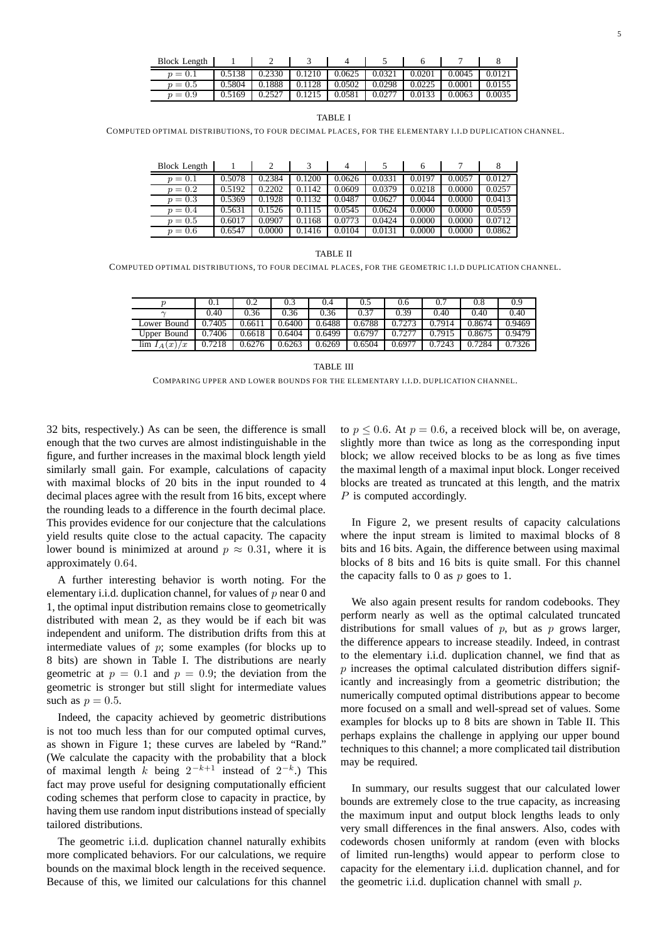TABLE I

COMPUTED OPTIMAL DISTRIBUTIONS, TO FOUR DECIMAL PLACES, FOR THE ELEMENTARY I.I.D DUPLICATION CHANNEL.

| Block Length |        |        |        |        |        | n      |        |        |
|--------------|--------|--------|--------|--------|--------|--------|--------|--------|
| $p = 0.1$    | 0.5078 | 0.2384 | 0.1200 | 0.0626 | 0.0331 | 0.0197 | 0.0057 | 0.0127 |
| $p = 0.2$    | 0.5192 | 0.2202 | 0.1142 | 0.0609 | 0.0379 | 0.0218 | 0.0000 | 0.0257 |
| $p = 0.3$    | 0.5369 | 0.1928 | 0.1132 | 0.0487 | 0.0627 | 0.0044 | 0.0000 | 0.0413 |
| $p = 0.4$    | 0.5631 | 0.1526 | 0.1115 | 0.0545 | 0.0624 | 0.0000 | 0.0000 | 0.0559 |
| $p = 0.5$    | 0.6017 | 0.0907 | 0.1168 | 0.0773 | 0.0424 | 0.0000 | 0.0000 | 0.0712 |
| $p = 0.6$    | 0.6547 | 0.0000 | 0.1416 | 0.0104 | 0.0131 | 0.0000 | 0.0000 | 0.0862 |

TABLE II

COMPUTED OPTIMAL DISTRIBUTIONS, TO FOUR DECIMAL PLACES, FOR THE GEOMETRIC I.I.D DUPLICATION CHANNEL.

|                         |        | 0.2    | 0.3    | 0.4    | U.S    | 0.6   |        | 0.8    | 0.9    |
|-------------------------|--------|--------|--------|--------|--------|-------|--------|--------|--------|
|                         | 0.40   | 0.36   | 0.36   | 0.36   | 0.37   | 0.39  | 0.40   | 0.40   | 0.40   |
| Lower Bound             | 0.7405 | .661   | 0.6400 | 0.6488 | 0.6788 |       | 0.7914 | 0.8674 | 0.9469 |
| Upper Bound             | 0.7406 | 0.6618 | 0.6404 | 0.6499 | 0.6797 |       | 0.7915 | 0.8675 | 0.9479 |
| $\lim I_A$<br>/x<br>(x) | .7218  | J.6276 | 0.6263 | 0.6269 | 0.6504 | 0.697 | 0.7243 | 0.7284 | 0.7326 |

TABLE III

COMPARING UPPER AND LOWER BOUNDS FOR THE ELEMENTARY I.I.D. DUPLICATION CHANNEL.

32 bits, respectively.) As can be seen, the difference is small enough that the two curves are almost indistinguishable in the figure, and further increases in the maximal block length yield similarly small gain. For example, calculations of capacity with maximal blocks of 20 bits in the input rounded to 4 decimal places agree with the result from 16 bits, except where the rounding leads to a difference in the fourth decimal place. This provides evidence for our conjecture that the calculations yield results quite close to the actual capacity. The capacity lower bound is minimized at around  $p \approx 0.31$ , where it is approximately 0.64.

A further interesting behavior is worth noting. For the elementary i.i.d. duplication channel, for values of  $p$  near 0 and 1, the optimal input distribution remains close to geometrically distributed with mean 2, as they would be if each bit was independent and uniform. The distribution drifts from this at intermediate values of  $p$ ; some examples (for blocks up to 8 bits) are shown in Table I. The distributions are nearly geometric at  $p = 0.1$  and  $p = 0.9$ ; the deviation from the geometric is stronger but still slight for intermediate values such as  $p = 0.5$ .

Indeed, the capacity achieved by geometric distributions is not too much less than for our computed optimal curves, as shown in Figure 1; these curves are labeled by "Rand." (We calculate the capacity with the probability that a block of maximal length k being  $2^{-k+1}$  instead of  $2^{-k}$ .) This fact may prove useful for designing computationally efficient coding schemes that perform close to capacity in practice, by having them use random input distributions instead of specially tailored distributions.

The geometric i.i.d. duplication channel naturally exhibits more complicated behaviors. For our calculations, we require bounds on the maximal block length in the received sequence. Because of this, we limited our calculations for this channel to  $p \le 0.6$ . At  $p = 0.6$ , a received block will be, on average, slightly more than twice as long as the corresponding input block; we allow received blocks to be as long as five times the maximal length of a maximal input block. Longer received blocks are treated as truncated at this length, and the matrix P is computed accordingly.

In Figure 2, we present results of capacity calculations where the input stream is limited to maximal blocks of 8 bits and 16 bits. Again, the difference between using maximal blocks of 8 bits and 16 bits is quite small. For this channel the capacity falls to 0 as  $p$  goes to 1.

We also again present results for random codebooks. They perform nearly as well as the optimal calculated truncated distributions for small values of  $p$ , but as  $p$  grows larger, the difference appears to increase steadily. Indeed, in contrast to the elementary i.i.d. duplication channel, we find that as  $p$  increases the optimal calculated distribution differs significantly and increasingly from a geometric distribution; the numerically computed optimal distributions appear to become more focused on a small and well-spread set of values. Some examples for blocks up to 8 bits are shown in Table II. This perhaps explains the challenge in applying our upper bound techniques to this channel; a more complicated tail distribution may be required.

In summary, our results suggest that our calculated lower bounds are extremely close to the true capacity, as increasing the maximum input and output block lengths leads to only very small differences in the final answers. Also, codes with codewords chosen uniformly at random (even with blocks of limited run-lengths) would appear to perform close to capacity for the elementary i.i.d. duplication channel, and for the geometric i.i.d. duplication channel with small  $p$ .